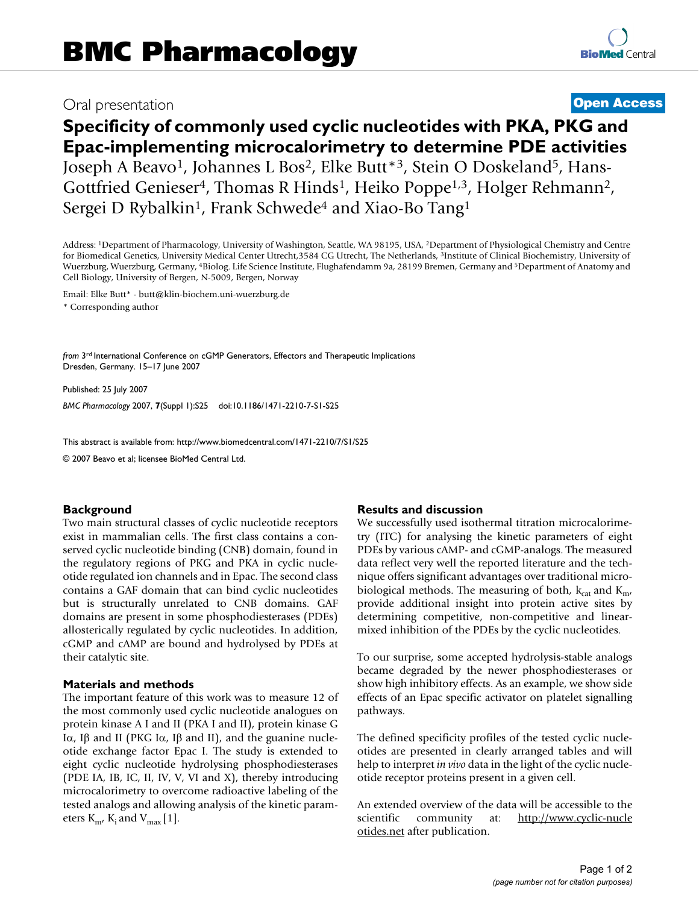# Oral presentation **[Open Access](http://www.biomedcentral.com/info/about/charter/)**

**Specificity of commonly used cyclic nucleotides with PKA, PKG and Epac-implementing microcalorimetry to determine PDE activities** Joseph A Beavo<sup>1</sup>, Johannes L Bos<sup>2</sup>, Elke Butt<sup>\*3</sup>, Stein O Doskeland<sup>5</sup>, Hans-Gottfried Genieser<sup>4</sup>, Thomas R Hinds<sup>1</sup>, Heiko Poppe<sup>1,3</sup>, Holger Rehmann<sup>2</sup>, Sergei D Rybalkin<sup>1</sup>, Frank Schwede<sup>4</sup> and Xiao-Bo Tang<sup>1</sup>

Address: 1Department of Pharmacology, University of Washington, Seattle, WA 98195, USA, 2Department of Physiological Chemistry and Centre for Biomedical Genetics, University Medical Center Utrecht,3584 CG Utrecht, The Netherlands, 3Institute of Clinical Biochemistry, University of Wuerzburg, Wuerzburg, Germany, 4Biolog. Life Science Institute, Flughafendamm 9a, 28199 Bremen, Germany and 5Department of Anatomy and Cell Biology, University of Bergen, N-5009, Bergen, Norway

Email: Elke Butt\* - butt@klin-biochem.uni-wuerzburg.de

\* Corresponding author

*from* 3rd International Conference on cGMP Generators, Effectors and Therapeutic Implications Dresden, Germany. 15–17 June 2007

Published: 25 July 2007 *BMC Pharmacology* 2007, **7**(Suppl 1):S25 doi:10.1186/1471-2210-7-S1-S25

[This abstract is available from: http://www.biomedcentral.com/1471-2210/7/S1/S25](http://www.biomedcentral.com/1471-2210/7/S1/S25)

© 2007 Beavo et al; licensee BioMed Central Ltd.

### **Background**

Two main structural classes of cyclic nucleotide receptors exist in mammalian cells. The first class contains a conserved cyclic nucleotide binding (CNB) domain, found in the regulatory regions of PKG and PKA in cyclic nucleotide regulated ion channels and in Epac. The second class contains a GAF domain that can bind cyclic nucleotides but is structurally unrelated to CNB domains. GAF domains are present in some phosphodiesterases (PDEs) allosterically regulated by cyclic nucleotides. In addition, cGMP and cAMP are bound and hydrolysed by PDEs at their catalytic site.

### **Materials and methods**

The important feature of this work was to measure 12 of the most commonly used cyclic nucleotide analogues on protein kinase A I and II (PKA I and II), protein kinase G Iα, Iβ and II (PKG Iα, Iβ and II), and the guanine nucleotide exchange factor Epac I. The study is extended to eight cyclic nucleotide hydrolysing phosphodiesterases (PDE IA, IB, IC, II, IV, V, VI and X), thereby introducing microcalorimetry to overcome radioactive labeling of the tested analogs and allowing analysis of the kinetic parameters  $K_{m}$ ,  $K_i$  and  $V_{max}$  [1].

## **Results and discussion**

We successfully used isothermal titration microcalorimetry (ITC) for analysing the kinetic parameters of eight PDEs by various cAMP- and cGMP-analogs. The measured data reflect very well the reported literature and the technique offers significant advantages over traditional microbiological methods. The measuring of both,  $k_{cat}$  and  $K_{m}$ , provide additional insight into protein active sites by determining competitive, non-competitive and linearmixed inhibition of the PDEs by the cyclic nucleotides.

To our surprise, some accepted hydrolysis-stable analogs became degraded by the newer phosphodiesterases or show high inhibitory effects. As an example, we show side effects of an Epac specific activator on platelet signalling pathways.

The defined specificity profiles of the tested cyclic nucleotides are presented in clearly arranged tables and will help to interpret *in vivo* data in the light of the cyclic nucleotide receptor proteins present in a given cell.

An extended overview of the data will be accessible to the scientific community at: [http://www.cyclic-nucle](http://www.cyclic-nucleotides.net) [otides.net](http://www.cyclic-nucleotides.net) after publication.